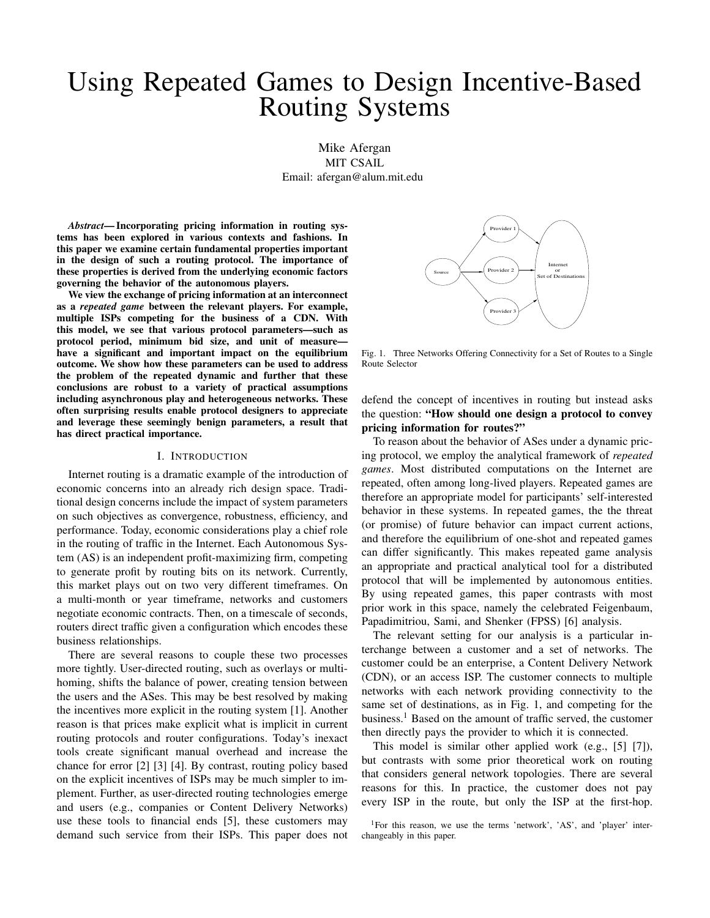# Using Repeated Games to Design Incentive-Based Routing Systems

Mike Afergan MIT CSAIL Email: afergan@alum.mit.edu

*Abstract***— Incorporating pricing information in routing systems has been explored in various contexts and fashions. In this paper we examine certain fundamental properties important in the design of such a routing protocol. The importance of these properties is derived from the underlying economic factors governing the behavior of the autonomous players.**

**We view the exchange of pricing information at an interconnect as a** *repeated game* **between the relevant players. For example, multiple ISPs competing for the business of a CDN. With this model, we see that various protocol parameters—such as protocol period, minimum bid size, and unit of measure have a significant and important impact on the equilibrium outcome. We show how these parameters can be used to address the problem of the repeated dynamic and further that these conclusions are robust to a variety of practical assumptions including asynchronous play and heterogeneous networks. These often surprising results enable protocol designers to appreciate and leverage these seemingly benign parameters, a result that has direct practical importance.**

#### I. INTRODUCTION

Internet routing is a dramatic example of the introduction of economic concerns into an already rich design space. Traditional design concerns include the impact of system parameters on such objectives as convergence, robustness, efficiency, and performance. Today, economic considerations play a chief role in the routing of traffic in the Internet. Each Autonomous System (AS) is an independent profit-maximizing firm, competing to generate profit by routing bits on its network. Currently, this market plays out on two very different timeframes. On a multi-month or year timeframe, networks and customers negotiate economic contracts. Then, on a timescale of seconds, routers direct traffic given a configuration which encodes these business relationships.

There are several reasons to couple these two processes more tightly. User-directed routing, such as overlays or multihoming, shifts the balance of power, creating tension between the users and the ASes. This may be best resolved by making the incentives more explicit in the routing system [1]. Another reason is that prices make explicit what is implicit in current routing protocols and router configurations. Today's inexact tools create significant manual overhead and increase the chance for error [2] [3] [4]. By contrast, routing policy based on the explicit incentives of ISPs may be much simpler to implement. Further, as user-directed routing technologies emerge and users (e.g., companies or Content Delivery Networks) use these tools to financial ends [5], these customers may demand such service from their ISPs. This paper does not



Fig. 1. Three Networks Offering Connectivity for a Set of Routes to a Single Route Selector

defend the concept of incentives in routing but instead asks the question: **"How should one design a protocol to convey pricing information for routes?"**

To reason about the behavior of ASes under a dynamic pricing protocol, we employ the analytical framework of *repeated games*. Most distributed computations on the Internet are repeated, often among long-lived players. Repeated games are therefore an appropriate model for participants' self-interested behavior in these systems. In repeated games, the the threat (or promise) of future behavior can impact current actions, and therefore the equilibrium of one-shot and repeated games can differ significantly. This makes repeated game analysis an appropriate and practical analytical tool for a distributed protocol that will be implemented by autonomous entities. By using repeated games, this paper contrasts with most prior work in this space, namely the celebrated Feigenbaum, Papadimitriou, Sami, and Shenker (FPSS) [6] analysis.

The relevant setting for our analysis is a particular interchange between a customer and a set of networks. The customer could be an enterprise, a Content Delivery Network (CDN), or an access ISP. The customer connects to multiple networks with each network providing connectivity to the same set of destinations, as in Fig. 1, and competing for the business.<sup>1</sup> Based on the amount of traffic served, the customer then directly pays the provider to which it is connected.

This model is similar other applied work (e.g., [5] [7]), but contrasts with some prior theoretical work on routing that considers general network topologies. There are several reasons for this. In practice, the customer does not pay every ISP in the route, but only the ISP at the first-hop.

<sup>&</sup>lt;sup>1</sup>For this reason, we use the terms 'network', 'AS', and 'player' interchangeably in this paper.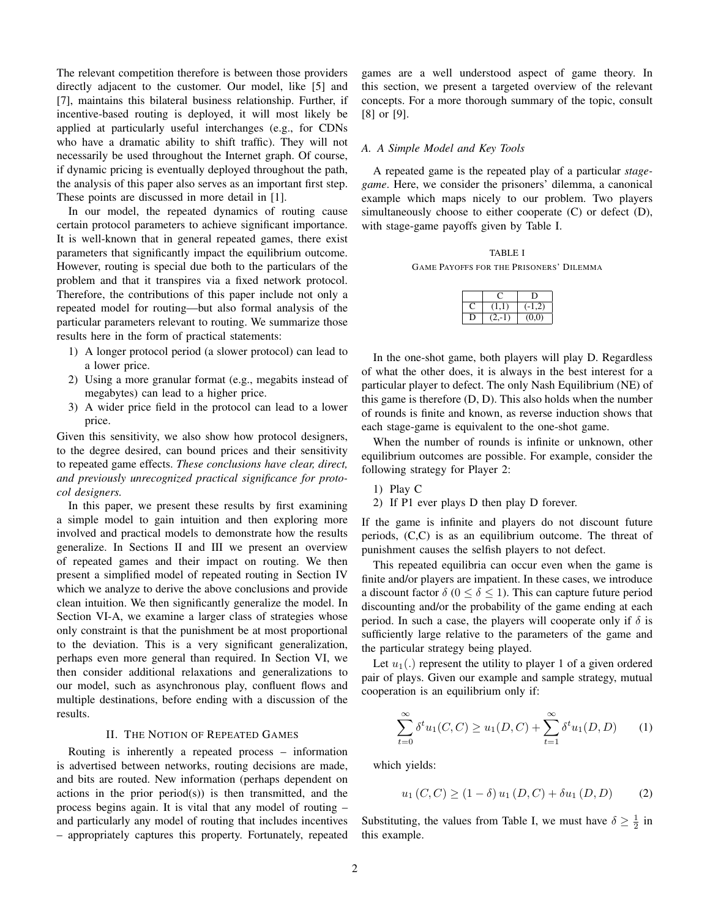The relevant competition therefore is between those providers directly adjacent to the customer. Our model, like [5] and [7], maintains this bilateral business relationship. Further, if incentive-based routing is deployed, it will most likely be applied at particularly useful interchanges (e.g., for CDNs who have a dramatic ability to shift traffic). They will not necessarily be used throughout the Internet graph. Of course, if dynamic pricing is eventually deployed throughout the path, the analysis of this paper also serves as an important first step. These points are discussed in more detail in [1].

In our model, the repeated dynamics of routing cause certain protocol parameters to achieve significant importance. It is well-known that in general repeated games, there exist parameters that significantly impact the equilibrium outcome. However, routing is special due both to the particulars of the problem and that it transpires via a fixed network protocol. Therefore, the contributions of this paper include not only a repeated model for routing—but also formal analysis of the particular parameters relevant to routing. We summarize those results here in the form of practical statements:

- 1) A longer protocol period (a slower protocol) can lead to a lower price.
- 2) Using a more granular format (e.g., megabits instead of megabytes) can lead to a higher price.
- 3) A wider price field in the protocol can lead to a lower price.

Given this sensitivity, we also show how protocol designers, to the degree desired, can bound prices and their sensitivity to repeated game effects. *These conclusions have clear, direct, and previously unrecognized practical significance for protocol designers.*

In this paper, we present these results by first examining a simple model to gain intuition and then exploring more involved and practical models to demonstrate how the results generalize. In Sections II and III we present an overview of repeated games and their impact on routing. We then present a simplified model of repeated routing in Section IV which we analyze to derive the above conclusions and provide clean intuition. We then significantly generalize the model. In Section VI-A, we examine a larger class of strategies whose only constraint is that the punishment be at most proportional to the deviation. This is a very significant generalization, perhaps even more general than required. In Section VI, we then consider additional relaxations and generalizations to our model, such as asynchronous play, confluent flows and multiple destinations, before ending with a discussion of the results.

#### II. THE NOTION OF REPEATED GAMES

Routing is inherently a repeated process – information is advertised between networks, routing decisions are made, and bits are routed. New information (perhaps dependent on actions in the prior period(s)) is then transmitted, and the process begins again. It is vital that any model of routing – and particularly any model of routing that includes incentives – appropriately captures this property. Fortunately, repeated games are a well understood aspect of game theory. In this section, we present a targeted overview of the relevant concepts. For a more thorough summary of the topic, consult [8] or [9].

#### *A. A Simple Model and Key Tools*

A repeated game is the repeated play of a particular *stagegame*. Here, we consider the prisoners' dilemma, a canonical example which maps nicely to our problem. Two players simultaneously choose to either cooperate (C) or defect (D), with stage-game payoffs given by Table I.

TABLE I GAME PAYOFFS FOR THE PRISONERS' DILEMMA

|  | (0,0) |  |
|--|-------|--|

In the one-shot game, both players will play D. Regardless of what the other does, it is always in the best interest for a particular player to defect. The only Nash Equilibrium (NE) of this game is therefore (D, D). This also holds when the number of rounds is finite and known, as reverse induction shows that each stage-game is equivalent to the one-shot game.

When the number of rounds is infinite or unknown, other equilibrium outcomes are possible. For example, consider the following strategy for Player 2:

1) Play C

2) If P1 ever plays D then play D forever.

If the game is infinite and players do not discount future periods, (C,C) is as an equilibrium outcome. The threat of punishment causes the selfish players to not defect.

This repeated equilibria can occur even when the game is finite and/or players are impatient. In these cases, we introduce a discount factor  $\delta$  ( $0 \le \delta \le 1$ ). This can capture future period discounting and/or the probability of the game ending at each period. In such a case, the players will cooperate only if  $\delta$  is sufficiently large relative to the parameters of the game and the particular strategy being played.

Let  $u_1(.)$  represent the utility to player 1 of a given ordered pair of plays. Given our example and sample strategy, mutual cooperation is an equilibrium only if:

$$
\sum_{t=0}^{\infty} \delta^t u_1(C, C) \ge u_1(D, C) + \sum_{t=1}^{\infty} \delta^t u_1(D, D) \tag{1}
$$

which yields:

$$
u_1(C, C) \ge (1 - \delta) u_1(D, C) + \delta u_1(D, D) \tag{2}
$$

Substituting, the values from Table I, we must have  $\delta \geq \frac{1}{2}$  in this example.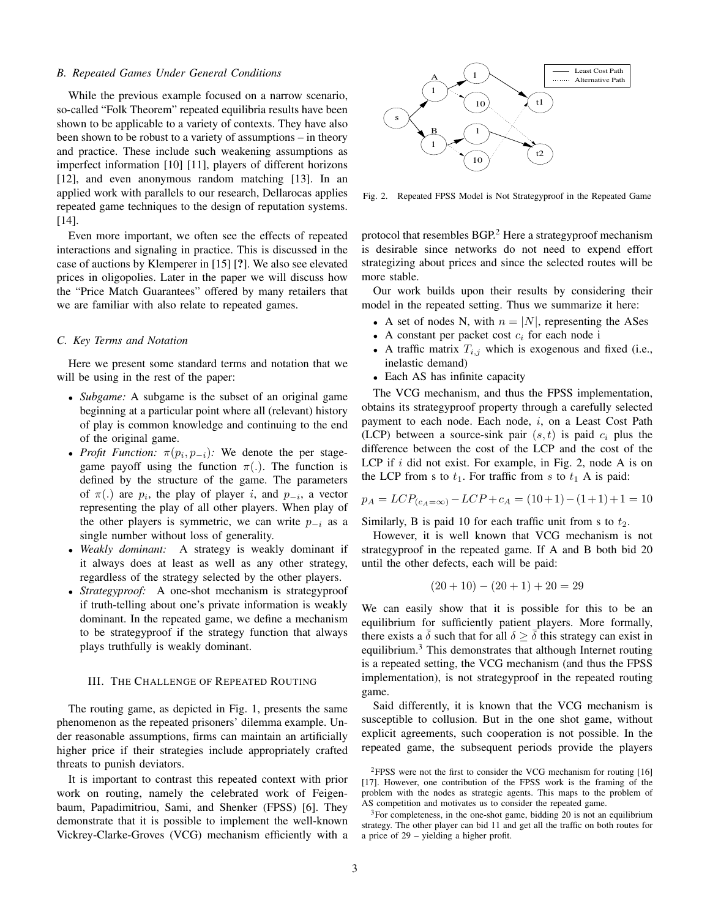#### *B. Repeated Games Under General Conditions*

While the previous example focused on a narrow scenario, so-called "Folk Theorem" repeated equilibria results have been shown to be applicable to a variety of contexts. They have also been shown to be robust to a variety of assumptions – in theory and practice. These include such weakening assumptions as imperfect information [10] [11], players of different horizons [12], and even anonymous random matching [13]. In an applied work with parallels to our research, Dellarocas applies repeated game techniques to the design of reputation systems. [14].

Even more important, we often see the effects of repeated interactions and signaling in practice. This is discussed in the case of auctions by Klemperer in [15] [**?**]. We also see elevated prices in oligopolies. Later in the paper we will discuss how the "Price Match Guarantees" offered by many retailers that we are familiar with also relate to repeated games.

#### *C. Key Terms and Notation*

Here we present some standard terms and notation that we will be using in the rest of the paper:

- *Subgame:* A subgame is the subset of an original game beginning at a particular point where all (relevant) history of play is common knowledge and continuing to the end of the original game.
- *Profit Function:*  $\pi(p_i, p_{-i})$ : We denote the per stagegame payoff using the function  $\pi(.)$ . The function is defined by the structure of the game. The parameters of  $\pi(.)$  are  $p_i$ , the play of player i, and  $p_{-i}$ , a vector representing the play of all other players. When play of the other players is symmetric, we can write  $p_{-i}$  as a single number without loss of generality.
- *Weakly dominant:* A strategy is weakly dominant if it always does at least as well as any other strategy, regardless of the strategy selected by the other players.
- *Strategyproof:* A one-shot mechanism is strategyproof if truth-telling about one's private information is weakly dominant. In the repeated game, we define a mechanism to be strategyproof if the strategy function that always plays truthfully is weakly dominant.

#### III. THE CHALLENGE OF REPEATED ROUTING

The routing game, as depicted in Fig. 1, presents the same phenomenon as the repeated prisoners' dilemma example. Under reasonable assumptions, firms can maintain an artificially higher price if their strategies include appropriately crafted threats to punish deviators.

It is important to contrast this repeated context with prior work on routing, namely the celebrated work of Feigenbaum, Papadimitriou, Sami, and Shenker (FPSS) [6]. They demonstrate that it is possible to implement the well-known Vickrey-Clarke-Groves (VCG) mechanism efficiently with a



Fig. 2. Repeated FPSS Model is Not Strategyproof in the Repeated Game

protocol that resembles BGP.<sup>2</sup> Here a strategyproof mechanism is desirable since networks do not need to expend effort strategizing about prices and since the selected routes will be more stable.

Our work builds upon their results by considering their model in the repeated setting. Thus we summarize it here:

- A set of nodes N, with  $n = |N|$ , representing the ASes
- A constant per packet cost  $c_i$  for each node i
- A traffic matrix  $T_{i,j}$  which is exogenous and fixed (i.e., inelastic demand)
- Each AS has infinite capacity

The VCG mechanism, and thus the FPSS implementation, obtains its strategyproof property through a carefully selected payment to each node. Each node, i, on a Least Cost Path (LCP) between a source-sink pair  $(s, t)$  is paid  $c_i$  plus the difference between the cost of the LCP and the cost of the LCP if  $i$  did not exist. For example, in Fig. 2, node A is on the LCP from s to  $t_1$ . For traffic from s to  $t_1$  A is paid:

$$
p_A = LCP_{(c_A = \infty)} - LCP + c_A = (10 + 1) - (1 + 1) + 1 = 10
$$

Similarly, B is paid 10 for each traffic unit from s to  $t_2$ .

However, it is well known that VCG mechanism is not strategyproof in the repeated game. If A and B both bid 20 until the other defects, each will be paid:

$$
(20+10) - (20+1) + 20 = 29
$$

We can easily show that it is possible for this to be an equilibrium for sufficiently patient players. More formally, there exists a  $\overline{\delta}$  such that for all  $\delta > \overline{\delta}$  this strategy can exist in equilibrium.<sup>3</sup> This demonstrates that although Internet routing is a repeated setting, the VCG mechanism (and thus the FPSS implementation), is not strategyproof in the repeated routing game.

Said differently, it is known that the VCG mechanism is susceptible to collusion. But in the one shot game, without explicit agreements, such cooperation is not possible. In the repeated game, the subsequent periods provide the players

<sup>&</sup>lt;sup>2</sup>FPSS were not the first to consider the VCG mechanism for routing [16] [17]. However, one contribution of the FPSS work is the framing of the problem with the nodes as strategic agents. This maps to the problem of AS competition and motivates us to consider the repeated game.

 $3$ For completeness, in the one-shot game, bidding 20 is not an equilibrium strategy. The other player can bid 11 and get all the traffic on both routes for a price of 29 – yielding a higher profit.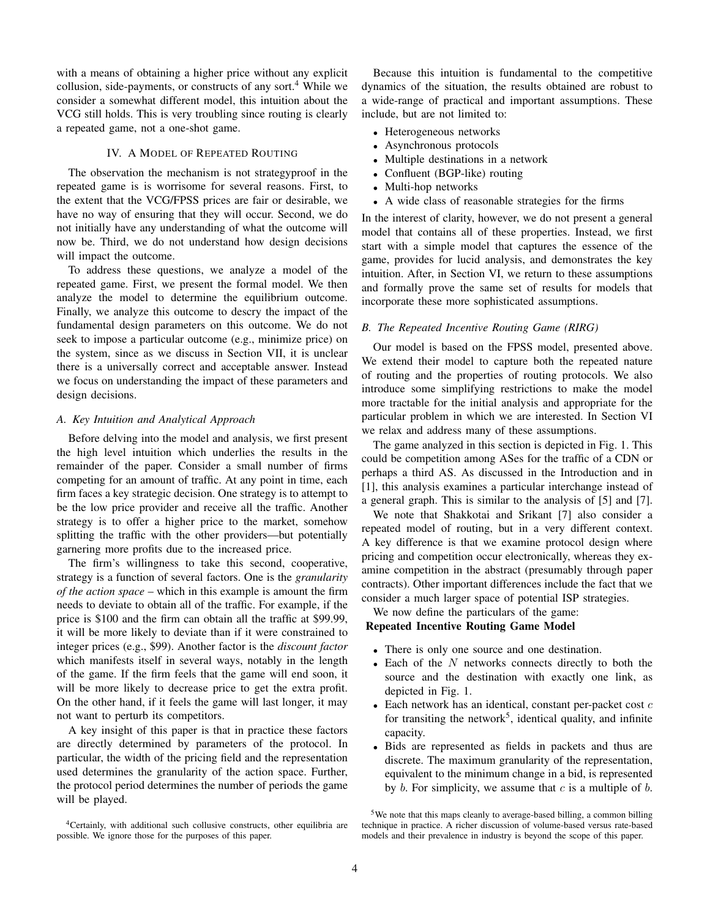with a means of obtaining a higher price without any explicit collusion, side-payments, or constructs of any sort.<sup>4</sup> While we consider a somewhat different model, this intuition about the VCG still holds. This is very troubling since routing is clearly a repeated game, not a one-shot game.

# IV. A MODEL OF REPEATED ROUTING

The observation the mechanism is not strategyproof in the repeated game is is worrisome for several reasons. First, to the extent that the VCG/FPSS prices are fair or desirable, we have no way of ensuring that they will occur. Second, we do not initially have any understanding of what the outcome will now be. Third, we do not understand how design decisions will impact the outcome.

To address these questions, we analyze a model of the repeated game. First, we present the formal model. We then analyze the model to determine the equilibrium outcome. Finally, we analyze this outcome to descry the impact of the fundamental design parameters on this outcome. We do not seek to impose a particular outcome (e.g., minimize price) on the system, since as we discuss in Section VII, it is unclear there is a universally correct and acceptable answer. Instead we focus on understanding the impact of these parameters and design decisions.

# *A. Key Intuition and Analytical Approach*

Before delving into the model and analysis, we first present the high level intuition which underlies the results in the remainder of the paper. Consider a small number of firms competing for an amount of traffic. At any point in time, each firm faces a key strategic decision. One strategy is to attempt to be the low price provider and receive all the traffic. Another strategy is to offer a higher price to the market, somehow splitting the traffic with the other providers—but potentially garnering more profits due to the increased price.

The firm's willingness to take this second, cooperative, strategy is a function of several factors. One is the *granularity of the action space* – which in this example is amount the firm needs to deviate to obtain all of the traffic. For example, if the price is \$100 and the firm can obtain all the traffic at \$99.99, it will be more likely to deviate than if it were constrained to integer prices (e.g., \$99). Another factor is the *discount factor* which manifests itself in several ways, notably in the length of the game. If the firm feels that the game will end soon, it will be more likely to decrease price to get the extra profit. On the other hand, if it feels the game will last longer, it may not want to perturb its competitors.

A key insight of this paper is that in practice these factors are directly determined by parameters of the protocol. In particular, the width of the pricing field and the representation used determines the granularity of the action space. Further, the protocol period determines the number of periods the game will be played.

Because this intuition is fundamental to the competitive dynamics of the situation, the results obtained are robust to a wide-range of practical and important assumptions. These include, but are not limited to:

- Heterogeneous networks
- Asynchronous protocols
- Multiple destinations in a network
- Confluent (BGP-like) routing
- Multi-hop networks
- A wide class of reasonable strategies for the firms

In the interest of clarity, however, we do not present a general model that contains all of these properties. Instead, we first start with a simple model that captures the essence of the game, provides for lucid analysis, and demonstrates the key intuition. After, in Section VI, we return to these assumptions and formally prove the same set of results for models that incorporate these more sophisticated assumptions.

#### *B. The Repeated Incentive Routing Game (RIRG)*

Our model is based on the FPSS model, presented above. We extend their model to capture both the repeated nature of routing and the properties of routing protocols. We also introduce some simplifying restrictions to make the model more tractable for the initial analysis and appropriate for the particular problem in which we are interested. In Section VI we relax and address many of these assumptions.

The game analyzed in this section is depicted in Fig. 1. This could be competition among ASes for the traffic of a CDN or perhaps a third AS. As discussed in the Introduction and in [1], this analysis examines a particular interchange instead of a general graph. This is similar to the analysis of [5] and [7].

We note that Shakkotai and Srikant [7] also consider a repeated model of routing, but in a very different context. A key difference is that we examine protocol design where pricing and competition occur electronically, whereas they examine competition in the abstract (presumably through paper contracts). Other important differences include the fact that we consider a much larger space of potential ISP strategies.

We now define the particulars of the game:

# **Repeated Incentive Routing Game Model**

- There is only one source and one destination.
- Each of the  $N$  networks connects directly to both the source and the destination with exactly one link, as depicted in Fig. 1.
- Each network has an identical, constant per-packet cost  $c$ for transiting the network<sup>5</sup>, identical quality, and infinite capacity.
- Bids are represented as fields in packets and thus are discrete. The maximum granularity of the representation, equivalent to the minimum change in a bid, is represented by b. For simplicity, we assume that  $c$  is a multiple of  $b$ .

<sup>&</sup>lt;sup>4</sup>Certainly, with additional such collusive constructs, other equilibria are possible. We ignore those for the purposes of this paper.

<sup>5</sup>We note that this maps cleanly to average-based billing, a common billing technique in practice. A richer discussion of volume-based versus rate-based models and their prevalence in industry is beyond the scope of this paper.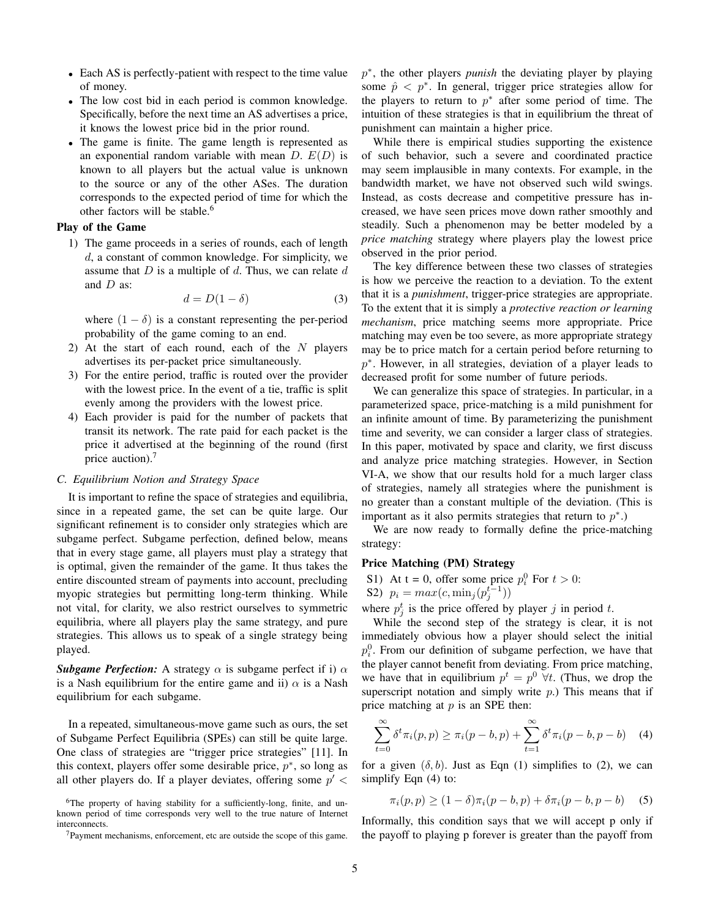- Each AS is perfectly-patient with respect to the time value of money.
- The low cost bid in each period is common knowledge. Specifically, before the next time an AS advertises a price, it knows the lowest price bid in the prior round.
- The game is finite. The game length is represented as an exponential random variable with mean  $D. E(D)$  is known to all players but the actual value is unknown to the source or any of the other ASes. The duration corresponds to the expected period of time for which the other factors will be stable.<sup>6</sup>

# **Play of the Game**

1) The game proceeds in a series of rounds, each of length d, a constant of common knowledge. For simplicity, we assume that  $D$  is a multiple of  $d$ . Thus, we can relate  $d$ and  $D$  as:

$$
d = D(1 - \delta) \tag{3}
$$

where  $(1 - \delta)$  is a constant representing the per-period probability of the game coming to an end.

- 2) At the start of each round, each of the  $N$  players advertises its per-packet price simultaneously.
- 3) For the entire period, traffic is routed over the provider with the lowest price. In the event of a tie, traffic is split evenly among the providers with the lowest price.
- 4) Each provider is paid for the number of packets that transit its network. The rate paid for each packet is the price it advertised at the beginning of the round (first price auction). $<sup>7</sup>$ </sup>

# *C. Equilibrium Notion and Strategy Space*

It is important to refine the space of strategies and equilibria, since in a repeated game, the set can be quite large. Our significant refinement is to consider only strategies which are subgame perfect. Subgame perfection, defined below, means that in every stage game, all players must play a strategy that is optimal, given the remainder of the game. It thus takes the entire discounted stream of payments into account, precluding myopic strategies but permitting long-term thinking. While not vital, for clarity, we also restrict ourselves to symmetric equilibria, where all players play the same strategy, and pure strategies. This allows us to speak of a single strategy being played.

*Subgame Perfection:* A strategy  $\alpha$  is subgame perfect if i)  $\alpha$ is a Nash equilibrium for the entire game and ii)  $\alpha$  is a Nash equilibrium for each subgame.

In a repeated, simultaneous-move game such as ours, the set of Subgame Perfect Equilibria (SPEs) can still be quite large. One class of strategies are "trigger price strategies" [11]. In this context, players offer some desirable price,  $p^*$ , so long as all other players do. If a player deviates, offering some  $p'$  < p∗, the other players *punish* the deviating player by playing some  $\hat{p} < p^*$ . In general, trigger price strategies allow for the players to return to  $p^*$  after some period of time. The intuition of these strategies is that in equilibrium the threat of punishment can maintain a higher price.

While there is empirical studies supporting the existence of such behavior, such a severe and coordinated practice may seem implausible in many contexts. For example, in the bandwidth market, we have not observed such wild swings. Instead, as costs decrease and competitive pressure has increased, we have seen prices move down rather smoothly and steadily. Such a phenomenon may be better modeled by a *price matching* strategy where players play the lowest price observed in the prior period.

The key difference between these two classes of strategies is how we perceive the reaction to a deviation. To the extent that it is a *punishment*, trigger-price strategies are appropriate. To the extent that it is simply a *protective reaction or learning mechanism*, price matching seems more appropriate. Price matching may even be too severe, as more appropriate strategy may be to price match for a certain period before returning to p∗. However, in all strategies, deviation of a player leads to decreased profit for some number of future periods.

We can generalize this space of strategies. In particular, in a parameterized space, price-matching is a mild punishment for an infinite amount of time. By parameterizing the punishment time and severity, we can consider a larger class of strategies. In this paper, motivated by space and clarity, we first discuss and analyze price matching strategies. However, in Section VI-A, we show that our results hold for a much larger class of strategies, namely all strategies where the punishment is no greater than a constant multiple of the deviation. (This is important as it also permits strategies that return to  $p^*$ .)

We are now ready to formally define the price-matching strategy:

# **Price Matching (PM) Strategy**

S1) At t = 0, offer some price  $p_i^0$  For  $t > 0$ :

S2) 
$$
p_i = max(c, min_j(p_i^{t-1}))
$$

where  $p_i^t$  is the price offered by player j in period t.

While the second step of the strategy is clear, it is not immediately obvious how a player should select the initial  $p_i^0$ . From our definition of subgame perfection, we have that the player cannot benefit from deviating. From price matching, we have that in equilibrium  $p^t = p^0 \forall t$ . (Thus, we drop the superscript notation and simply write  $p$ .) This means that if price matching at  $p$  is an SPE then:

$$
\sum_{t=0}^{\infty} \delta^t \pi_i(p, p) \ge \pi_i(p - b, p) + \sum_{t=1}^{\infty} \delta^t \pi_i(p - b, p - b) \quad (4)
$$

for a given  $(\delta, b)$ . Just as Eqn (1) simplifies to (2), we can simplify Eqn (4) to:

$$
\pi_i(p, p) \ge (1 - \delta)\pi_i(p - b, p) + \delta\pi_i(p - b, p - b)
$$
 (5)

Informally, this condition says that we will accept p only if the payoff to playing p forever is greater than the payoff from

<sup>&</sup>lt;sup>6</sup>The property of having stability for a sufficiently-long, finite, and unknown period of time corresponds very well to the true nature of Internet interconnects.

 $7$ Payment mechanisms, enforcement, etc are outside the scope of this game.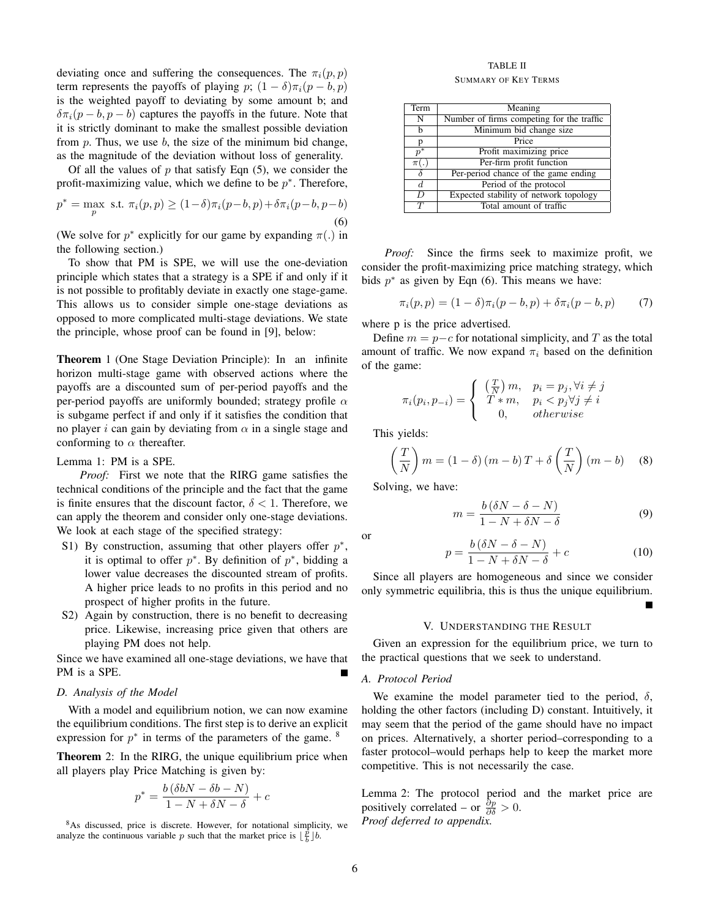deviating once and suffering the consequences. The  $\pi_i(p, p)$ term represents the payoffs of playing p;  $(1 - \delta)\pi_i(p - b, p)$ is the weighted payoff to deviating by some amount b; and  $\delta \pi_i(p - b, p - b)$  captures the payoffs in the future. Note that it is strictly dominant to make the smallest possible deviation from  $p$ . Thus, we use  $b$ , the size of the minimum bid change, as the magnitude of the deviation without loss of generality.

Of all the values of  $p$  that satisfy Eqn  $(5)$ , we consider the profit-maximizing value, which we define to be  $p^*$ . Therefore,

$$
p^* = \max_{p} s.t. \ \pi_i(p, p) \ge (1 - \delta)\pi_i(p - b, p) + \delta\pi_i(p - b, p - b)
$$
\n(6)

(We solve for  $p^*$  explicitly for our game by expanding  $\pi(.)$  in the following section.)

To show that PM is SPE, we will use the one-deviation principle which states that a strategy is a SPE if and only if it is not possible to profitably deviate in exactly one stage-game. This allows us to consider simple one-stage deviations as opposed to more complicated multi-stage deviations. We state the principle, whose proof can be found in [9], below:

**Theorem** 1 (One Stage Deviation Principle): In an infinite horizon multi-stage game with observed actions where the payoffs are a discounted sum of per-period payoffs and the per-period payoffs are uniformly bounded; strategy profile  $\alpha$ is subgame perfect if and only if it satisfies the condition that no player i can gain by deviating from  $\alpha$  in a single stage and conforming to  $\alpha$  thereafter.

Lemma 1: PM is a SPE.

*Proof:* First we note that the RIRG game satisfies the technical conditions of the principle and the fact that the game is finite ensures that the discount factor,  $\delta$  < 1. Therefore, we can apply the theorem and consider only one-stage deviations. We look at each stage of the specified strategy:

- S1) By construction, assuming that other players offer  $p^*$ , it is optimal to offer  $p^*$ . By definition of  $p^*$ , bidding a lower value decreases the discounted stream of profits. A higher price leads to no profits in this period and no prospect of higher profits in the future.
- S2) Again by construction, there is no benefit to decreasing price. Likewise, increasing price given that others are playing PM does not help.

Since we have examined all one-stage deviations, we have that PM is a SPE.

#### *D. Analysis of the Model*

With a model and equilibrium notion, we can now examine the equilibrium conditions. The first step is to derive an explicit expression for  $p^*$  in terms of the parameters of the game. <sup>8</sup>

**Theorem** 2: In the RIRG, the unique equilibrium price when all players play Price Matching is given by:

$$
p^* = \frac{b\left(\delta bN - \delta b - N\right)}{1 - N + \delta N - \delta} + c
$$

8As discussed, price is discrete. However, for notational simplicity, we analyze the continuous variable p such that the market price is  $\lfloor \frac{p}{b} \rfloor b$ .

# TABLE II

SUMMARY OF KEY TERMS

| Term     | Meaning                                   |  |  |
|----------|-------------------------------------------|--|--|
| N        | Number of firms competing for the traffic |  |  |
| b        | Minimum bid change size                   |  |  |
| p        | Price                                     |  |  |
| $p^*$    | Profit maximizing price                   |  |  |
| $\pi(.)$ | Per-firm profit function                  |  |  |
| $\delta$ | Per-period chance of the game ending      |  |  |
| d.       | Period of the protocol                    |  |  |
| D        | Expected stability of network topology    |  |  |
| $\tau$   | Total amount of traffic                   |  |  |

*Proof:* Since the firms seek to maximize profit, we consider the profit-maximizing price matching strategy, which bids  $p*$  as given by Eqn (6). This means we have:

$$
\pi_i(p, p) = (1 - \delta)\pi_i(p - b, p) + \delta\pi_i(p - b, p) \tag{7}
$$

where p is the price advertised.

Define  $m = p - c$  for notational simplicity, and T as the total amount of traffic. We now expand  $\pi_i$  based on the definition of the game:

$$
\pi_i(p_i, p_{-i}) = \begin{cases} \n\left(\frac{T}{N}\right)m, & p_i = p_j, \forall i \neq j \\ \nT * m, & p_i < p_j \forall j \neq i \\ \n0, & otherwise \n\end{cases}
$$

This yields:

$$
\left(\frac{T}{N}\right)m = (1 - \delta)(m - b)T + \delta\left(\frac{T}{N}\right)(m - b) \quad (8)
$$

Solving, we have:

$$
m = \frac{b(\delta N - \delta - N)}{1 - N + \delta N - \delta} \tag{9}
$$

or

$$
p = \frac{b(\delta N - \delta - N)}{1 - N + \delta N - \delta} + c \tag{10}
$$

Since all players are homogeneous and since we consider only symmetric equilibria, this is thus the unique equilibrium.

#### V. UNDERSTANDING THE RESULT

Given an expression for the equilibrium price, we turn to the practical questions that we seek to understand.

#### *A. Protocol Period*

We examine the model parameter tied to the period,  $\delta$ , holding the other factors (including D) constant. Intuitively, it may seem that the period of the game should have no impact on prices. Alternatively, a shorter period–corresponding to a faster protocol–would perhaps help to keep the market more competitive. This is not necessarily the case.

Lemma 2: The protocol period and the market price are positively correlated – or  $\frac{\partial p}{\partial \delta} > 0$ . *Proof deferred to appendix.*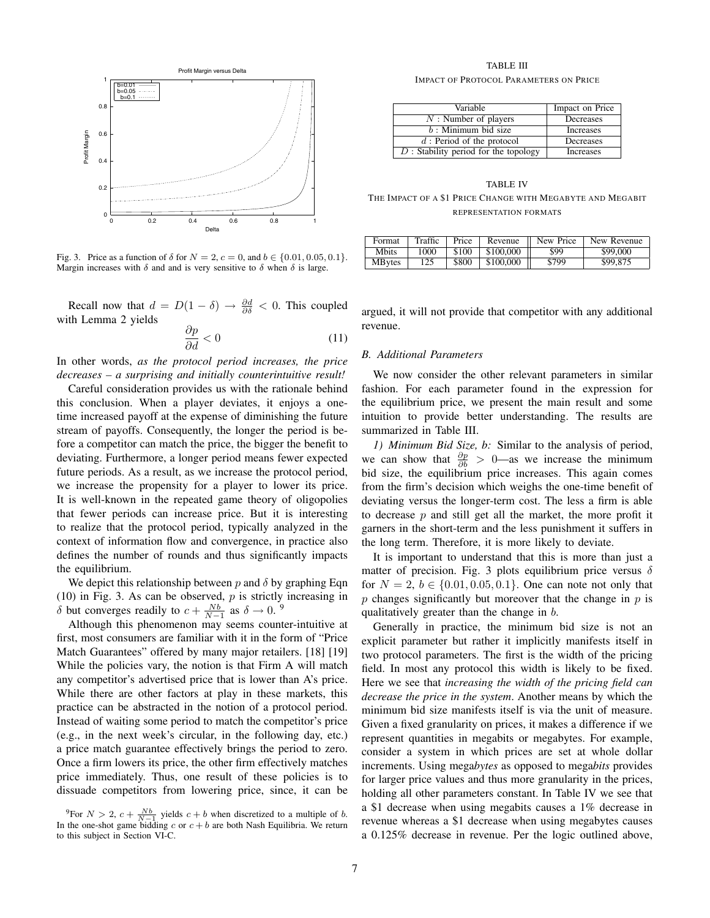

Fig. 3. Price as a function of  $\delta$  for  $N = 2$ ,  $c = 0$ , and  $b \in \{0.01, 0.05, 0.1\}$ . Margin increases with  $\delta$  and and is very sensitive to  $\delta$  when  $\delta$  is large.

Recall now that  $d = D(1 - \delta) \rightarrow \frac{\partial d}{\partial \delta} < 0$ . This coupled with Lemma 2 yields

$$
\frac{\partial p}{\partial d} < 0 \tag{11}
$$

In other words, *as the protocol period increases, the price decreases – a surprising and initially counterintuitive result!*

Careful consideration provides us with the rationale behind this conclusion. When a player deviates, it enjoys a onetime increased payoff at the expense of diminishing the future stream of payoffs. Consequently, the longer the period is before a competitor can match the price, the bigger the benefit to deviating. Furthermore, a longer period means fewer expected future periods. As a result, as we increase the protocol period, we increase the propensity for a player to lower its price. It is well-known in the repeated game theory of oligopolies that fewer periods can increase price. But it is interesting to realize that the protocol period, typically analyzed in the context of information flow and convergence, in practice also defines the number of rounds and thus significantly impacts the equilibrium.

We depict this relationship between p and  $\delta$  by graphing Eqn (10) in Fig. 3. As can be observed,  $p$  is strictly increasing in δ but converges readily to  $c + \frac{Nb}{N-1}$  as  $\delta \to 0$ .

Although this phenomenon may seems counter-intuitive at first, most consumers are familiar with it in the form of "Price Match Guarantees" offered by many major retailers. [18] [19] While the policies vary, the notion is that Firm A will match any competitor's advertised price that is lower than A's price. While there are other factors at play in these markets, this practice can be abstracted in the notion of a protocol period. Instead of waiting some period to match the competitor's price (e.g., in the next week's circular, in the following day, etc.) a price match guarantee effectively brings the period to zero. Once a firm lowers its price, the other firm effectively matches price immediately. Thus, one result of these policies is to dissuade competitors from lowering price, since, it can be

TABLE III

IMPACT OF PROTOCOL PARAMETERS ON PRICE

| Variable                                | Impact on Price  |
|-----------------------------------------|------------------|
| $N$ : Number of players                 | Decreases        |
| $b:$ Minimum bid size                   | Increases        |
| $d$ : Period of the protocol            | Decreases        |
| $D$ : Stability period for the topology | <b>Increases</b> |

# TABLE IV

THE IMPACT OF A \$1 PRICE CHANGE WITH MEGABYTE AND MEGABIT REPRESENTATION FORMATS

| Format         | Traffic | Price | Revenue   | New Price | New Revenue |
|----------------|---------|-------|-----------|-----------|-------------|
| <b>M</b> bits  | 1000    | \$100 | \$100,000 | \$99      | \$99,000    |
| <b>MB</b> vtes | 125     | \$800 | \$100,000 | \$799     | \$99,875    |

argued, it will not provide that competitor with any additional revenue.

#### *B. Additional Parameters*

We now consider the other relevant parameters in similar fashion. For each parameter found in the expression for the equilibrium price, we present the main result and some intuition to provide better understanding. The results are summarized in Table III.

*1) Minimum Bid Size, b:* Similar to the analysis of period, we can show that  $\frac{\partial p}{\partial b} > 0$ —as we increase the minimum bid size, the equilibrium price increases. This again comes from the firm's decision which weighs the one-time benefit of deviating versus the longer-term cost. The less a firm is able to decrease  $p$  and still get all the market, the more profit it garners in the short-term and the less punishment it suffers in the long term. Therefore, it is more likely to deviate.

It is important to understand that this is more than just a matter of precision. Fig. 3 plots equilibrium price versus  $\delta$ for  $N = 2$ ,  $b \in \{0.01, 0.05, 0.1\}$ . One can note not only that  $p$  changes significantly but moreover that the change in  $p$  is qualitatively greater than the change in b.

Generally in practice, the minimum bid size is not an explicit parameter but rather it implicitly manifests itself in two protocol parameters. The first is the width of the pricing field. In most any protocol this width is likely to be fixed. Here we see that *increasing the width of the pricing field can decrease the price in the system*. Another means by which the minimum bid size manifests itself is via the unit of measure. Given a fixed granularity on prices, it makes a difference if we represent quantities in megabits or megabytes. For example, consider a system in which prices are set at whole dollar increments. Using mega*bytes* as opposed to mega*bits* provides for larger price values and thus more granularity in the prices, holding all other parameters constant. In Table IV we see that a \$1 decrease when using megabits causes a 1% decrease in revenue whereas a \$1 decrease when using megabytes causes a 0.125% decrease in revenue. Per the logic outlined above,

 $^{9}$ For  $N > 2$ ,  $c + \frac{Nb}{N-1}$  yields  $c + b$  when discretized to a multiple of b. In the one-shot game bidding  $c$  or  $c + b$  are both Nash Equilibria. We return to this subject in Section VI-C.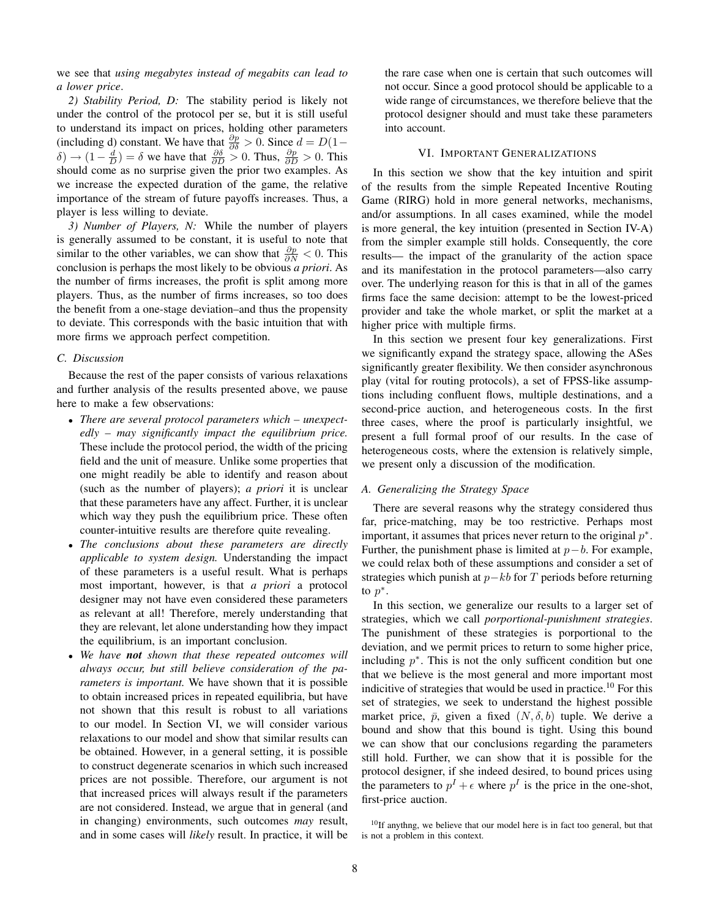we see that *using megabytes instead of megabits can lead to a lower price*.

*2) Stability Period, D:* The stability period is likely not under the control of the protocol per se, but it is still useful to understand its impact on prices, holding other parameters (including d) constant. We have that  $\frac{\partial p}{\partial \delta} > 0$ . Since  $d = D(1 - \frac{1}{2})$  $\delta$ ) →  $(1 - \frac{d}{D}) = \delta$  we have that  $\frac{\partial \delta}{\partial D} > 0$ . Thus,  $\frac{\partial p}{\partial D} > 0$ . This should come as no surprise given the prior two examples. As we increase the expected duration of the game, the relative importance of the stream of future payoffs increases. Thus, a player is less willing to deviate.

*3) Number of Players, N:* While the number of players is generally assumed to be constant, it is useful to note that similar to the other variables, we can show that  $\frac{\partial p}{\partial N} < 0$ . This conclusion is perhaps the most likely to be obvious *a priori*. As the number of firms increases, the profit is split among more players. Thus, as the number of firms increases, so too does the benefit from a one-stage deviation–and thus the propensity to deviate. This corresponds with the basic intuition that with more firms we approach perfect competition.

#### *C. Discussion*

Because the rest of the paper consists of various relaxations and further analysis of the results presented above, we pause here to make a few observations:

- *There are several protocol parameters which unexpectedly – may significantly impact the equilibrium price.* These include the protocol period, the width of the pricing field and the unit of measure. Unlike some properties that one might readily be able to identify and reason about (such as the number of players); *a priori* it is unclear that these parameters have any affect. Further, it is unclear which way they push the equilibrium price. These often counter-intuitive results are therefore quite revealing.
- *The conclusions about these parameters are directly applicable to system design.* Understanding the impact of these parameters is a useful result. What is perhaps most important, however, is that *a priori* a protocol designer may not have even considered these parameters as relevant at all! Therefore, merely understanding that they are relevant, let alone understanding how they impact the equilibrium, is an important conclusion.
- *We have not shown that these repeated outcomes will always occur, but still believe consideration of the parameters is important.* We have shown that it is possible to obtain increased prices in repeated equilibria, but have not shown that this result is robust to all variations to our model. In Section VI, we will consider various relaxations to our model and show that similar results can be obtained. However, in a general setting, it is possible to construct degenerate scenarios in which such increased prices are not possible. Therefore, our argument is not that increased prices will always result if the parameters are not considered. Instead, we argue that in general (and in changing) environments, such outcomes *may* result, and in some cases will *likely* result. In practice, it will be

the rare case when one is certain that such outcomes will not occur. Since a good protocol should be applicable to a wide range of circumstances, we therefore believe that the protocol designer should and must take these parameters into account.

#### VI. IMPORTANT GENERALIZATIONS

In this section we show that the key intuition and spirit of the results from the simple Repeated Incentive Routing Game (RIRG) hold in more general networks, mechanisms, and/or assumptions. In all cases examined, while the model is more general, the key intuition (presented in Section IV-A) from the simpler example still holds. Consequently, the core results— the impact of the granularity of the action space and its manifestation in the protocol parameters—also carry over. The underlying reason for this is that in all of the games firms face the same decision: attempt to be the lowest-priced provider and take the whole market, or split the market at a higher price with multiple firms.

In this section we present four key generalizations. First we significantly expand the strategy space, allowing the ASes significantly greater flexibility. We then consider asynchronous play (vital for routing protocols), a set of FPSS-like assumptions including confluent flows, multiple destinations, and a second-price auction, and heterogeneous costs. In the first three cases, where the proof is particularly insightful, we present a full formal proof of our results. In the case of heterogeneous costs, where the extension is relatively simple, we present only a discussion of the modification.

# *A. Generalizing the Strategy Space*

There are several reasons why the strategy considered thus far, price-matching, may be too restrictive. Perhaps most important, it assumes that prices never return to the original  $p^*$ . Further, the punishment phase is limited at  $p-b$ . For example, we could relax both of these assumptions and consider a set of strategies which punish at  $p-kb$  for T periods before returning to  $p^*$ .

In this section, we generalize our results to a larger set of strategies, which we call *porportional-punishment strategies*. The punishment of these strategies is porportional to the deviation, and we permit prices to return to some higher price, including  $p^*$ . This is not the only sufficent condition but one that we believe is the most general and more important most indicitive of strategies that would be used in practice.<sup>10</sup> For this set of strategies, we seek to understand the highest possible market price,  $\bar{p}$ , given a fixed  $(N, \delta, b)$  tuple. We derive a bound and show that this bound is tight. Using this bound we can show that our conclusions regarding the parameters still hold. Further, we can show that it is possible for the protocol designer, if she indeed desired, to bound prices using the parameters to  $p^I + \epsilon$  where  $p^I$  is the price in the one-shot, first-price auction.

 $10$ If anythng, we believe that our model here is in fact too general, but that is not a problem in this context.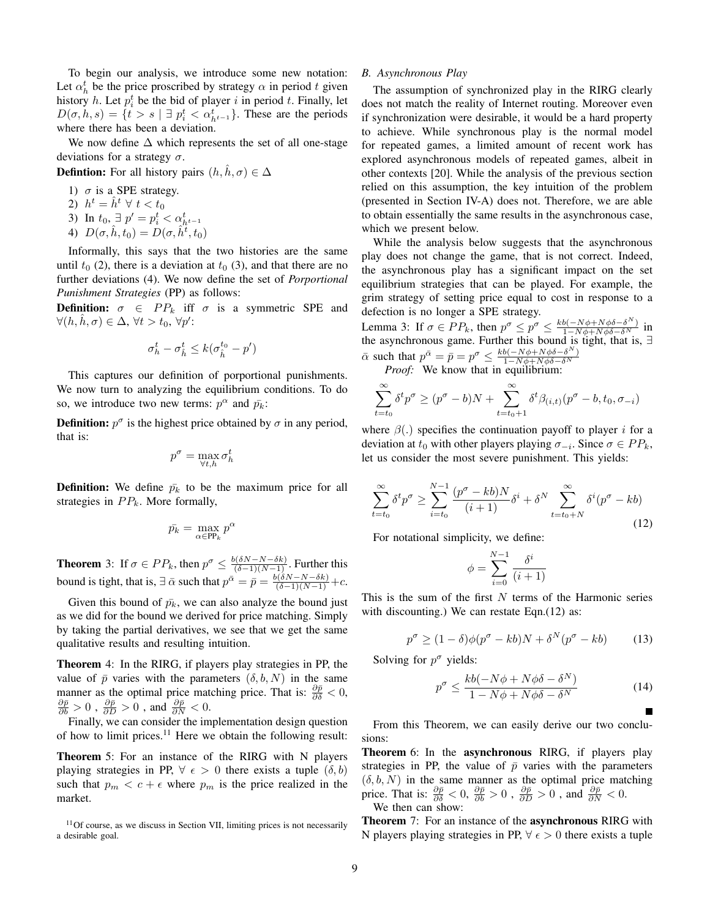To begin our analysis, we introduce some new notation: Let  $\alpha_h^t$  be the price proscribed by strategy  $\alpha$  in period t given history h. Let  $p_i^t$  be the bid of player i in period t. Finally, let  $D(\sigma, h, s) = \{t > s \mid \exists p_i^t < \alpha_{h^{t-1}}^t\}$ . These are the periods where there has been a deviation.

We now define  $\Delta$  which represents the set of all one-stage deviations for a strategy  $\sigma$ .

**Defintion:** For all history pairs  $(h, h, \sigma) \in \Delta$ 

1)  $\sigma$  is a SPE strategy. 2)  $h^t = \hat{h}^t \ \forall \ t < t_0$ 3) In  $t_0$ ,  $\exists p' = p_i^t < \alpha_{h^{t-1}}^t$ <br>
4)  $D(\sigma, \hat{h}, t_0) = D(\sigma, \hat{h}^t, t_0)$ 

Informally, this says that the two histories are the same until  $t_0$  (2), there is a deviation at  $t_0$  (3), and that there are no further deviations (4). We now define the set of *Porportional Punishment Strategies* (PP) as follows:

**Definition:**  $\sigma \in PP_k$  iff  $\sigma$  is a symmetric SPE and  $\forall (h, \hat{h}, \sigma) \in \Delta, \forall t > t_0, \forall p'$ :

$$
\sigma_h^t - \sigma_{\hat{h}}^t \leq k(\sigma_{\hat{h}}^{t_0} - p')
$$

This captures our definition of porportional punishments. We now turn to analyzing the equilibrium conditions. To do so, we introduce two new terms:  $p^{\alpha}$  and  $\bar{p}_k$ :

**Definition:**  $p^{\sigma}$  is the highest price obtained by  $\sigma$  in any period, that is:

$$
p^{\sigma} = \max_{\forall t,h} \sigma_h^t
$$

**Definition:** We define  $\bar{p}_k$  to be the maximum price for all strategies in  $PP_k$ . More formally,

$$
\bar{p_k} = \max_{\alpha \in \mathtt{PP}_k} p^\alpha
$$

**Theorem** 3: If  $\sigma \in PP_k$ , then  $p^{\sigma} \leq \frac{b(\delta N-N-\delta k)}{(\delta-1)(N-1)}$ . Further this bound is tight, that is,  $\exists \bar{\alpha}$  such that  $p^{\bar{\alpha}} = \bar{p} = \frac{b(\delta N - N - \delta k)}{(\delta - 1)(N - 1)} + c$ .

Given this bound of  $\bar{p_k}$ , we can also analyze the bound just as we did for the bound we derived for price matching. Simply by taking the partial derivatives, we see that we get the same qualitative results and resulting intuition.

**Theorem** 4: In the RIRG, if players play strategies in PP, the value of  $\bar{p}$  varies with the parameters  $(\delta, b, N)$  in the same manner as the optimal price matching price. That is:  $\frac{\partial \bar{p}}{\partial \delta} < 0$ ,  $\frac{\partial \bar{p}}{\partial \delta} > 0$ , and  $\frac{\partial \bar{p}}{\partial \delta} < 0$  $\frac{\partial \bar{p}}{\partial b} > 0$ ,  $\frac{\partial \bar{p}}{\partial D} > 0$ , and  $\frac{\partial \bar{p}}{\partial N} < 0$ .

Finally, we can consider the implementation design question of how to limit prices.<sup>11</sup> Here we obtain the following result:

**Theorem** 5: For an instance of the RIRG with N players playing strategies in PP,  $\forall \epsilon > 0$  there exists a tuple  $(\delta, b)$ such that  $p_m < c + \epsilon$  where  $p_m$  is the price realized in the market.

 $11$ Of course, as we discuss in Section VII, limiting prices is not necessarily a desirable goal.

#### *B. Asynchronous Play*

The assumption of synchronized play in the RIRG clearly does not match the reality of Internet routing. Moreover even if synchronization were desirable, it would be a hard property to achieve. While synchronous play is the normal model for repeated games, a limited amount of recent work has explored asynchronous models of repeated games, albeit in other contexts [20]. While the analysis of the previous section relied on this assumption, the key intuition of the problem (presented in Section IV-A) does not. Therefore, we are able to obtain essentially the same results in the asynchronous case, which we present below.

While the analysis below suggests that the asynchronous play does not change the game, that is not correct. Indeed, the asynchronous play has a significant impact on the set equilibrium strategies that can be played. For example, the grim strategy of setting price equal to cost in response to a defection is no longer a SPE strategy.

Lemma 3: If  $\sigma \in PP_k$ , then  $p^{\sigma} \leq p^{\sigma} \leq \frac{kb(-N\phi+N\phi\delta-\delta^N)}{1-N\phi+N\phi\delta-\delta^N}$  in the asynchronous game. Further this bound is tight, that is,  $\exists$  $\bar{\alpha}$  such that  $p^{\bar{\alpha}} = \bar{p} = p^{\sigma} \leq \frac{kb(-N\phi+N\phi\delta-\delta^N)}{1-N\phi+N\phi\delta-\delta^N}$ <br>*Proof:* We know that in equilibrium:

$$
\sum_{t=t_0}^{\infty} \delta^t p^{\sigma} \ge (p^{\sigma} - b)N + \sum_{t=t_0+1}^{\infty} \delta^t \beta_{(i,t)}(p^{\sigma} - b, t_0, \sigma_{-i})
$$

where  $\beta(.)$  specifies the continuation payoff to player *i* for a deviation at  $t_0$  with other players playing  $\sigma_{-i}$ . Since  $\sigma \in PP_k$ , let us consider the most severe punishment. This yields:

$$
\sum_{t=t_0}^{\infty} \delta^t p^{\sigma} \ge \sum_{i=t_0}^{N-1} \frac{(p^{\sigma} - kb)N}{(i+1)} \delta^i + \delta^N \sum_{t=t_0+N}^{\infty} \delta^i (p^{\sigma} - kb)
$$
\n(12)

For notational simplicity, we define:

$$
\phi = \sum_{i=0}^{N-1} \frac{\delta^i}{(i+1)}
$$

This is the sum of the first  $N$  terms of the Harmonic series with discounting.) We can restate Eqn.(12) as:

$$
p^{\sigma} \ge (1 - \delta)\phi(p^{\sigma} - kb)N + \delta^N(p^{\sigma} - kb) \tag{13}
$$

Solving for  $p^{\sigma}$  yields:

$$
p^{\sigma} \le \frac{kb(-N\phi + N\phi\delta - \delta^N)}{1 - N\phi + N\phi\delta - \delta^N}
$$
 (14)

From this Theorem, we can easily derive our two conclusions:

**Theorem** 6: In the **asynchronous** RIRG, if players play strategies in PP, the value of  $\bar{p}$  varies with the parameters  $(\delta, b, N)$  in the same manner as the optimal price matching price. That is:  $\frac{\partial \bar{p}}{\partial \delta} < 0$ ,  $\frac{\partial \bar{p}}{\partial b} > 0$ ,  $\frac{\partial \bar{p}}{\partial D} > 0$ , and  $\frac{\partial \bar{p}}{\partial N} < 0$ . We then can show:

**Theorem** 7: For an instance of the **asynchronous** RIRG with N players playing strategies in PP,  $\forall \epsilon > 0$  there exists a tuple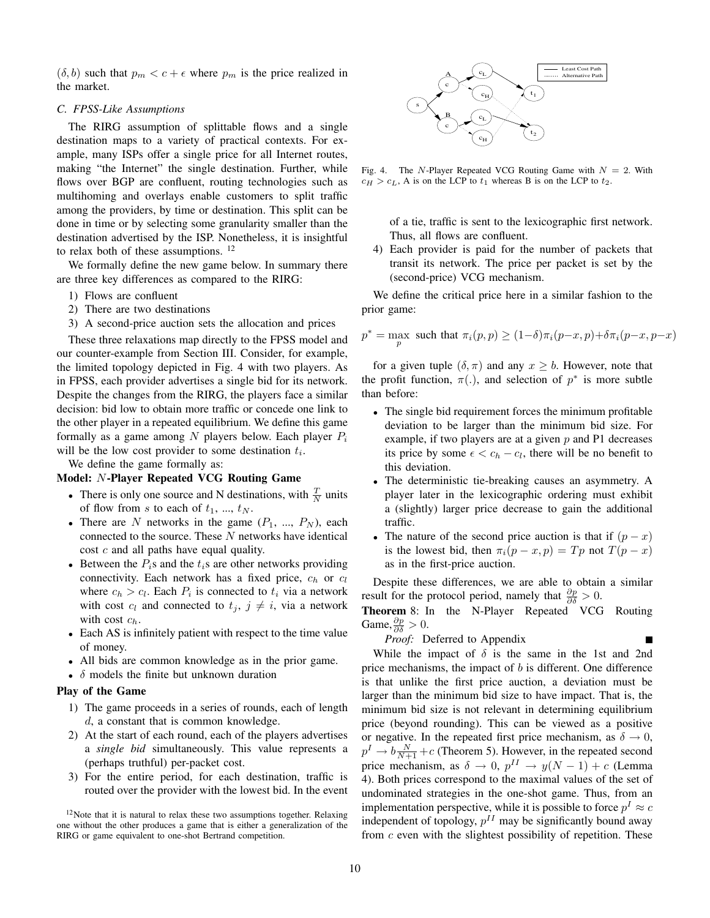$(\delta, b)$  such that  $p_m < c + \epsilon$  where  $p_m$  is the price realized in the market.

#### *C. FPSS-Like Assumptions*

The RIRG assumption of splittable flows and a single destination maps to a variety of practical contexts. For example, many ISPs offer a single price for all Internet routes, making "the Internet" the single destination. Further, while flows over BGP are confluent, routing technologies such as multihoming and overlays enable customers to split traffic among the providers, by time or destination. This split can be done in time or by selecting some granularity smaller than the destination advertised by the ISP. Nonetheless, it is insightful to relax both of these assumptions.  $12$ 

We formally define the new game below. In summary there are three key differences as compared to the RIRG:

- 1) Flows are confluent
- 2) There are two destinations
- 3) A second-price auction sets the allocation and prices

These three relaxations map directly to the FPSS model and our counter-example from Section III. Consider, for example, the limited topology depicted in Fig. 4 with two players. As in FPSS, each provider advertises a single bid for its network. Despite the changes from the RIRG, the players face a similar decision: bid low to obtain more traffic or concede one link to the other player in a repeated equilibrium. We define this game formally as a game among N players below. Each player  $P_i$ will be the low cost provider to some destination  $t_i$ .

We define the game formally as:

# **Model:** N**-Player Repeated VCG Routing Game**

- There is only one source and N destinations, with  $\frac{T}{N}$  units of flow from s to each of  $t_1$ , ...,  $t_N$ .
- There are N networks in the game  $(P_1, ..., P_N)$ , each connected to the source. These  $N$  networks have identical cost c and all paths have equal quality.
- Between the  $P_i$ s and the  $t_i$ s are other networks providing connectivity. Each network has a fixed price,  $c_h$  or  $c_l$ where  $c_h > c_l$ . Each  $P_i$  is connected to  $t_i$  via a network with cost  $c_l$  and connected to  $t_j$ ,  $j \neq i$ , via a network with cost  $c_h$ .
- Each AS is infinitely patient with respect to the time value of money.
- All bids are common knowledge as in the prior game.
- $\delta$  models the finite but unknown duration

#### **Play of the Game**

- 1) The game proceeds in a series of rounds, each of length d, a constant that is common knowledge.
- 2) At the start of each round, each of the players advertises a *single bid* simultaneously. This value represents a (perhaps truthful) per-packet cost.
- 3) For the entire period, for each destination, traffic is routed over the provider with the lowest bid. In the event



Fig. 4. The N-Player Repeated VCG Routing Game with  $N = 2$ . With  $c_H > c_L$ , A is on the LCP to  $t_1$  whereas B is on the LCP to  $t_2$ .

of a tie, traffic is sent to the lexicographic first network. Thus, all flows are confluent.

4) Each provider is paid for the number of packets that transit its network. The price per packet is set by the (second-price) VCG mechanism.

We define the critical price here in a similar fashion to the prior game:

 $p^* = \max_{n=1}^{\infty}$  such that  $\pi_i(p, p) \geq (1-\delta)\pi_i(p-x, p)+\delta\pi_i(p-x, p-x)$ 

for a given tuple  $(\delta, \pi)$  and any  $x \geq b$ . However, note that the profit function,  $\pi(.)$ , and selection of  $p^*$  is more subtle than before:

- The single bid requirement forces the minimum profitable deviation to be larger than the minimum bid size. For example, if two players are at a given  $p$  and P1 decreases its price by some  $\epsilon < c_h - c_l$ , there will be no benefit to this deviation.
- The deterministic tie-breaking causes an asymmetry. A player later in the lexicographic ordering must exhibit a (slightly) larger price decrease to gain the additional traffic.
- The nature of the second price auction is that if  $(p x)$ is the lowest bid, then  $\pi_i(p-x, p) = Tp$  not  $T(p-x)$ as in the first-price auction.

Despite these differences, we are able to obtain a similar result for the protocol period, namely that  $\frac{\partial p}{\partial \delta} > 0$ .

**Theorem** 8: In the N-Player Repeated VCG Routing Game,  $\frac{\partial p}{\partial \delta} > 0$ .

*Proof:* Deferred to Appendix

While the impact of  $\delta$  is the same in the 1st and 2nd price mechanisms, the impact of  $b$  is different. One difference is that unlike the first price auction, a deviation must be larger than the minimum bid size to have impact. That is, the minimum bid size is not relevant in determining equilibrium price (beyond rounding). This can be viewed as a positive or negative. In the repeated first price mechanism, as  $\delta \rightarrow 0$ ,  $p^I \rightarrow b \frac{N}{N+1} + c$  (Theorem 5). However, in the repeated second price mechanism, as  $\delta \to 0$ ,  $p^{II} \to y(N-1) + c$  (Lemma 4). Both prices correspond to the maximal values of the set of undominated strategies in the one-shot game. Thus, from an implementation perspective, while it is possible to force  $p<sup>I</sup> \approx c$ independent of topology,  $p^{II}$  may be significantly bound away from  $c$  even with the slightest possibility of repetition. These

 $12$ Note that it is natural to relax these two assumptions together. Relaxing one without the other produces a game that is either a generalization of the RIRG or game equivalent to one-shot Bertrand competition.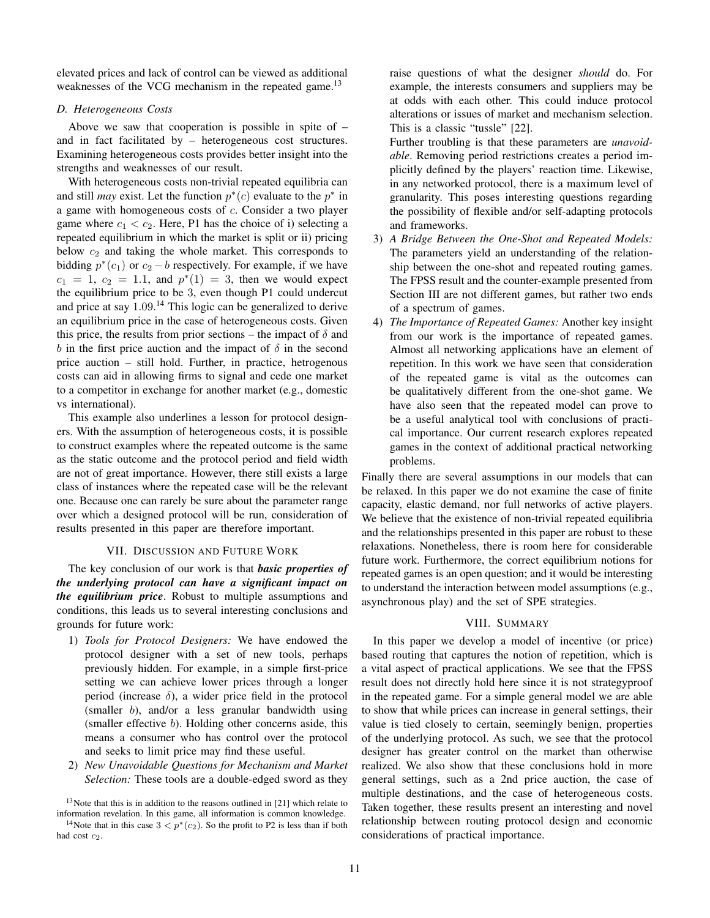elevated prices and lack of control can be viewed as additional weaknesses of the VCG mechanism in the repeated game.<sup>13</sup>

#### *D. Heterogeneous Costs*

Above we saw that cooperation is possible in spite of – and in fact facilitated by – heterogeneous cost structures. Examining heterogeneous costs provides better insight into the strengths and weaknesses of our result.

With heterogeneous costs non-trivial repeated equilibria can and still *may* exist. Let the function  $p^*(c)$  evaluate to the  $p^*$  in a game with homogeneous costs of  $c$ . Consider a two player game where  $c_1 < c_2$ . Here, P1 has the choice of i) selecting a repeated equilibrium in which the market is split or ii) pricing below  $c_2$  and taking the whole market. This corresponds to bidding  $p^*(c_1)$  or  $c_2 - b$  respectively. For example, if we have  $c_1 = 1, c_2 = 1.1,$  and  $p^*(1) = 3$ , then we would expect the equilibrium price to be 3, even though P1 could undercut and price at say 1.09. <sup>14</sup> This logic can be generalized to derive an equilibrium price in the case of heterogeneous costs. Given this price, the results from prior sections – the impact of  $\delta$  and b in the first price auction and the impact of  $\delta$  in the second price auction – still hold. Further, in practice, hetrogenous costs can aid in allowing firms to signal and cede one market to a competitor in exchange for another market (e.g., domestic vs international).

This example also underlines a lesson for protocol designers. With the assumption of heterogeneous costs, it is possible to construct examples where the repeated outcome is the same as the static outcome and the protocol period and field width are not of great importance. However, there still exists a large class of instances where the repeated case will be the relevant one. Because one can rarely be sure about the parameter range over which a designed protocol will be run, consideration of results presented in this paper are therefore important.

#### VII. DISCUSSION AND FUTURE WORK

The key conclusion of our work is that *basic properties of the underlying protocol can have a significant impact on the equilibrium price*. Robust to multiple assumptions and conditions, this leads us to several interesting conclusions and grounds for future work:

- 1) *Tools for Protocol Designers:* We have endowed the protocol designer with a set of new tools, perhaps previously hidden. For example, in a simple first-price setting we can achieve lower prices through a longer period (increase  $\delta$ ), a wider price field in the protocol (smaller  $b$ ), and/or a less granular bandwidth using (smaller effective  $b$ ). Holding other concerns aside, this means a consumer who has control over the protocol and seeks to limit price may find these useful.
- 2) *New Unavoidable Questions for Mechanism and Market Selection:* These tools are a double-edged sword as they

raise questions of what the designer *should* do. For example, the interests consumers and suppliers may be at odds with each other. This could induce protocol alterations or issues of market and mechanism selection. This is a classic "tussle" [22].

Further troubling is that these parameters are *unavoidable*. Removing period restrictions creates a period implicitly defined by the players' reaction time. Likewise, in any networked protocol, there is a maximum level of granularity. This poses interesting questions regarding the possibility of flexible and/or self-adapting protocols and frameworks.

- 3) *A Bridge Between the One-Shot and Repeated Models:* The parameters yield an understanding of the relationship between the one-shot and repeated routing games. The FPSS result and the counter-example presented from Section III are not different games, but rather two ends of a spectrum of games.
- 4) *The Importance of Repeated Games:* Another key insight from our work is the importance of repeated games. Almost all networking applications have an element of repetition. In this work we have seen that consideration of the repeated game is vital as the outcomes can be qualitatively different from the one-shot game. We have also seen that the repeated model can prove to be a useful analytical tool with conclusions of practical importance. Our current research explores repeated games in the context of additional practical networking problems.

Finally there are several assumptions in our models that can be relaxed. In this paper we do not examine the case of finite capacity, elastic demand, nor full networks of active players. We believe that the existence of non-trivial repeated equilibria and the relationships presented in this paper are robust to these relaxations. Nonetheless, there is room here for considerable future work. Furthermore, the correct equilibrium notions for repeated games is an open question; and it would be interesting to understand the interaction between model assumptions (e.g., asynchronous play) and the set of SPE strategies.

#### VIII. SUMMARY

In this paper we develop a model of incentive (or price) based routing that captures the notion of repetition, which is a vital aspect of practical applications. We see that the FPSS result does not directly hold here since it is not strategyproof in the repeated game. For a simple general model we are able to show that while prices can increase in general settings, their value is tied closely to certain, seemingly benign, properties of the underlying protocol. As such, we see that the protocol designer has greater control on the market than otherwise realized. We also show that these conclusions hold in more general settings, such as a 2nd price auction, the case of multiple destinations, and the case of heterogeneous costs. Taken together, these results present an interesting and novel relationship between routing protocol design and economic considerations of practical importance.

 $13$ Note that this is in addition to the reasons outlined in [21] which relate to information revelation. In this game, all information is common knowledge. <sup>14</sup>Note that in this case  $3 < p^*(c_2)$ . So the profit to P2 is less than if both had cost  $c_2$ .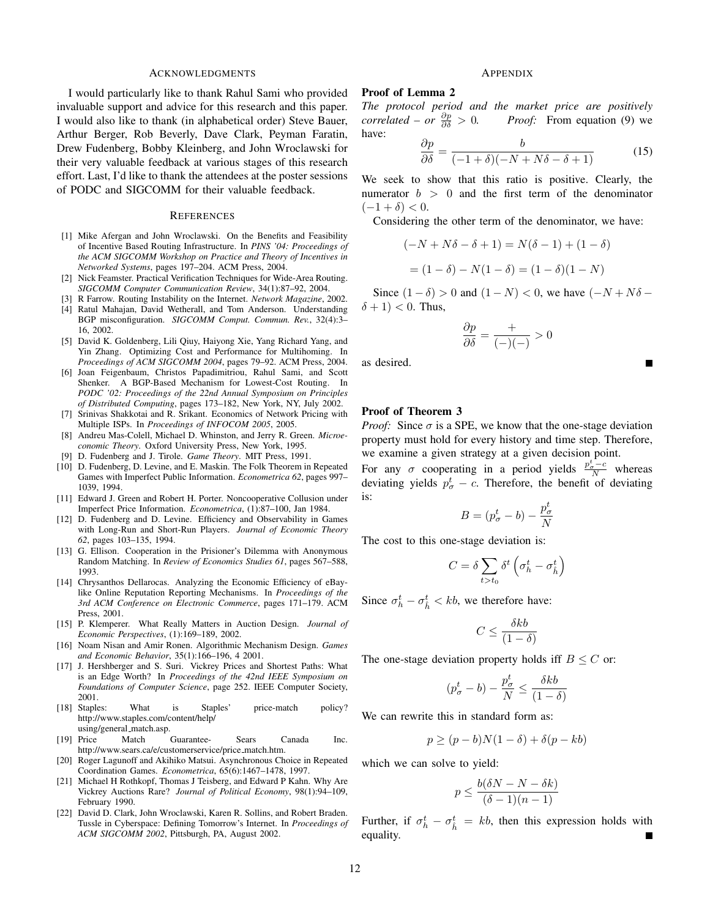#### ACKNOWLEDGMENTS

I would particularly like to thank Rahul Sami who provided invaluable support and advice for this research and this paper. I would also like to thank (in alphabetical order) Steve Bauer, Arthur Berger, Rob Beverly, Dave Clark, Peyman Faratin, Drew Fudenberg, Bobby Kleinberg, and John Wroclawski for their very valuable feedback at various stages of this research effort. Last, I'd like to thank the attendees at the poster sessions of PODC and SIGCOMM for their valuable feedback.

#### **REFERENCES**

- [1] Mike Afergan and John Wroclawski. On the Benefits and Feasibility of Incentive Based Routing Infrastructure. In *PINS '04: Proceedings of the ACM SIGCOMM Workshop on Practice and Theory of Incentives in Networked Systems*, pages 197–204. ACM Press, 2004.
- [2] Nick Feamster. Practical Verification Techniques for Wide-Area Routing. *SIGCOMM Computer Communication Review*, 34(1):87–92, 2004.
- [3] R Farrow. Routing Instability on the Internet. *Network Magazine*, 2002.
- [4] Ratul Mahajan, David Wetherall, and Tom Anderson. Understanding BGP misconfiguration. *SIGCOMM Comput. Commun. Rev.*, 32(4):3– 16, 2002.
- [5] David K. Goldenberg, Lili Qiuy, Haiyong Xie, Yang Richard Yang, and Yin Zhang. Optimizing Cost and Performance for Multihoming. In *Proceedings of ACM SIGCOMM 2004*, pages 79–92. ACM Press, 2004.
- [6] Joan Feigenbaum, Christos Papadimitriou, Rahul Sami, and Scott Shenker. A BGP-Based Mechanism for Lowest-Cost Routing. In *PODC '02: Proceedings of the 22nd Annual Symposium on Principles of Distributed Computing*, pages 173–182, New York, NY, July 2002.
- [7] Srinivas Shakkotai and R. Srikant. Economics of Network Pricing with Multiple ISPs. In *Proceedings of INFOCOM 2005*, 2005.
- [8] Andreu Mas-Colell, Michael D. Whinston, and Jerry R. Green. *Microeconomic Theory*. Oxford University Press, New York, 1995.
- [9] D. Fudenberg and J. Tirole. *Game Theory*. MIT Press, 1991.
- [10] D. Fudenberg, D. Levine, and E. Maskin. The Folk Theorem in Repeated Games with Imperfect Public Information. *Econometrica 62*, pages 997– 1039, 1994.
- [11] Edward J. Green and Robert H. Porter. Noncooperative Collusion under Imperfect Price Information. *Econometrica*, (1):87–100, Jan 1984.
- [12] D. Fudenberg and D. Levine. Efficiency and Observability in Games with Long-Run and Short-Run Players. *Journal of Economic Theory 62*, pages 103–135, 1994.
- [13] G. Ellison. Cooperation in the Prisioner's Dilemma with Anonymous Random Matching. In *Review of Economics Studies 61*, pages 567–588, 1993.
- [14] Chrysanthos Dellarocas. Analyzing the Economic Efficiency of eBaylike Online Reputation Reporting Mechanisms. In *Proceedings of the 3rd ACM Conference on Electronic Commerce*, pages 171–179. ACM Press, 2001.
- [15] P. Klemperer. What Really Matters in Auction Design. *Journal of Economic Perspectives*, (1):169–189, 2002.
- [16] Noam Nisan and Amir Ronen. Algorithmic Mechanism Design. *Games and Economic Behavior*, 35(1):166–196, 4 2001.
- [17] J. Hershberger and S. Suri. Vickrey Prices and Shortest Paths: What is an Edge Worth? In *Proceedings of the 42nd IEEE Symposium on Foundations of Computer Science*, page 252. IEEE Computer Society, 2001.
- [18] Staples: What is Staples' price-match policy? http://www.staples.com/content/help/ using/general match.asp.
- [19] Price Match Guarantee- Sears Canada Inc. http://www.sears.ca/e/customerservice/price match.htm.
- [20] Roger Lagunoff and Akihiko Matsui. Asynchronous Choice in Repeated Coordination Games. *Econometrica*, 65(6):1467–1478, 1997.
- [21] Michael H Rothkopf, Thomas J Teisberg, and Edward P Kahn. Why Are Vickrey Auctions Rare? *Journal of Political Economy*, 98(1):94–109, February 1990.
- [22] David D. Clark, John Wroclawski, Karen R. Sollins, and Robert Braden. Tussle in Cyberspace: Defining Tomorrow's Internet. In *Proceedings of ACM SIGCOMM 2002*, Pittsburgh, PA, August 2002.

#### **Proof of Lemma 2**

*The protocol period and the market price are positively correlated – or*  $\frac{\partial p}{\partial \delta} > 0$ . *Proof:* From equation (9) we have:

APPENDIX

$$
\frac{\partial p}{\partial \delta} = \frac{b}{(-1+\delta)(-N+N\delta-\delta+1)}\tag{15}
$$

We seek to show that this ratio is positive. Clearly, the numerator  $b > 0$  and the first term of the denominator  $(-1+\delta) < 0.$ 

Considering the other term of the denominator, we have:

$$
(-N + N\delta - \delta + 1) = N(\delta - 1) + (1 - \delta)
$$

$$
= (1 - \delta) - N(1 - \delta) = (1 - \delta)(1 - N)
$$

Since  $(1 - \delta) > 0$  and  $(1 - N) < 0$ , we have  $(-N + N\delta \delta + 1$ ) < 0. Thus,

$$
\frac{\partial p}{\partial \delta} = \frac{+}{(-)(-)} > 0
$$

as desired.

#### **Proof of Theorem 3**

*Proof:* Since  $\sigma$  is a SPE, we know that the one-stage deviation property must hold for every history and time step. Therefore, we examine a given strategy at a given decision point.

For any  $\sigma$  cooperating in a period yields  $\frac{p_{\sigma}^t - c}{N}$  whereas deviating yields  $p^t_\sigma - c$ . Therefore, the benefit of deviating is:

$$
B=(p^t_\sigma-b)-\frac{p^t_\sigma}{N}
$$

The cost to this one-stage deviation is:

$$
C = \delta \sum_{t > t_0} \delta^t \left( \sigma_h^t - \sigma_{\hat{h}}^t \right)
$$

Since  $\sigma_h^t - \sigma_{\hat{h}}^t < kb$ , we therefore have:

$$
C \le \frac{\delta k b}{(1 - \delta)}
$$

The one-stage deviation property holds iff  $B \leq C$  or:

$$
(p^t_\sigma - b) - \frac{p^t_\sigma}{N} \leq \frac{\delta k b}{(1 - \delta)}
$$

We can rewrite this in standard form as:

$$
p \ge (p - b)N(1 - \delta) + \delta(p - kb)
$$

which we can solve to yield:

$$
p \le \frac{b(\delta N - N - \delta k)}{(\delta - 1)(n - 1)}
$$

Further, if  $\sigma_h^t - \sigma_{\hat{h}}^t = kb$ , then this expression holds with equality.